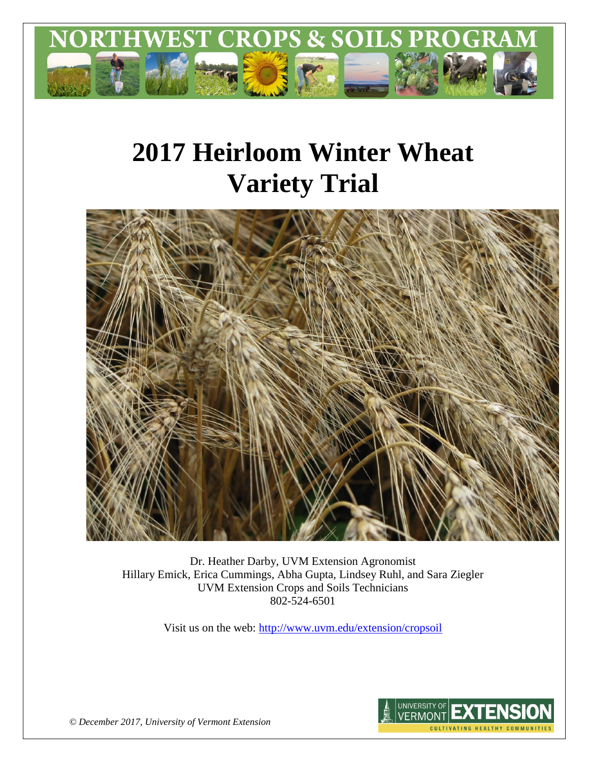

# **2017 Heirloom Winter Wheat Variety Trial**



Dr. Heather Darby, UVM Extension Agronomist Hillary Emick, Erica Cummings, Abha Gupta, Lindsey Ruhl, and Sara Ziegler UVM Extension Crops and Soils Technicians 802-524-6501

Visit us on the web:<http://www.uvm.edu/extension/cropsoil>



*© December 2017, University of Vermont Extension*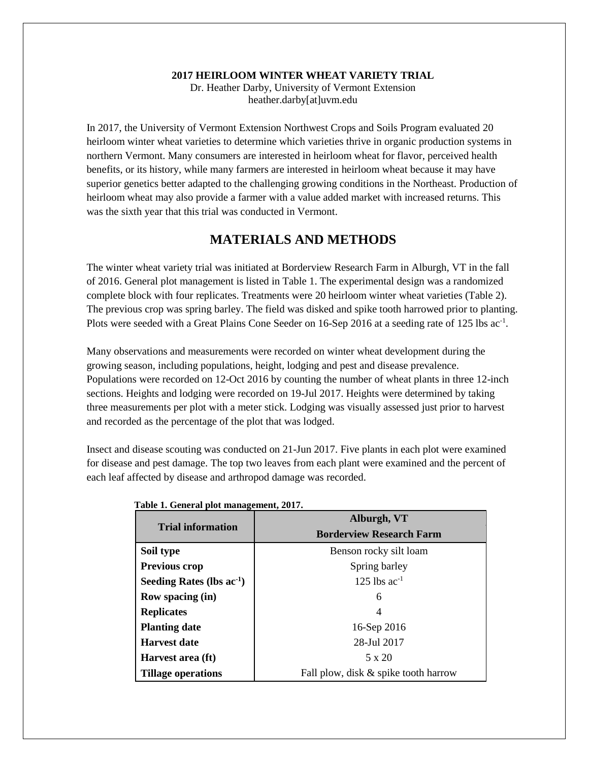#### **2017 HEIRLOOM WINTER WHEAT VARIETY TRIAL**

Dr. Heather Darby, University of Vermont Extension heather.darby[at]uvm.edu

In 2017, the University of Vermont Extension Northwest Crops and Soils Program evaluated 20 heirloom winter wheat varieties to determine which varieties thrive in organic production systems in northern Vermont. Many consumers are interested in heirloom wheat for flavor, perceived health benefits, or its history, while many farmers are interested in heirloom wheat because it may have superior genetics better adapted to the challenging growing conditions in the Northeast. Production of heirloom wheat may also provide a farmer with a value added market with increased returns. This was the sixth year that this trial was conducted in Vermont.

## **MATERIALS AND METHODS**

The winter wheat variety trial was initiated at Borderview Research Farm in Alburgh, VT in the fall of 2016. General plot management is listed in Table 1. The experimental design was a randomized complete block with four replicates. Treatments were 20 heirloom winter wheat varieties (Table 2). The previous crop was spring barley. The field was disked and spike tooth harrowed prior to planting. Plots were seeded with a Great Plains Cone Seeder on 16-Sep 2016 at a seeding rate of 125 lbs ac<sup>-1</sup>.

Many observations and measurements were recorded on winter wheat development during the growing season, including populations, height, lodging and pest and disease prevalence. Populations were recorded on 12-Oct 2016 by counting the number of wheat plants in three 12-inch sections. Heights and lodging were recorded on 19-Jul 2017. Heights were determined by taking three measurements per plot with a meter stick. Lodging was visually assessed just prior to harvest and recorded as the percentage of the plot that was lodged.

Insect and disease scouting was conducted on 21-Jun 2017. Five plants in each plot were examined for disease and pest damage. The top two leaves from each plant were examined and the percent of each leaf affected by disease and arthropod damage was recorded.

| <b>Trial information</b>    | Alburgh, VT                          |  |  |  |  |  |
|-----------------------------|--------------------------------------|--|--|--|--|--|
|                             | <b>Borderview Research Farm</b>      |  |  |  |  |  |
| Soil type                   | Benson rocky silt loam               |  |  |  |  |  |
| <b>Previous crop</b>        | Spring barley                        |  |  |  |  |  |
| Seeding Rates (lbs $ac-1$ ) | 125 lbs $ac^{-1}$                    |  |  |  |  |  |
| <b>Row spacing (in)</b>     | 6                                    |  |  |  |  |  |
| <b>Replicates</b>           | 4                                    |  |  |  |  |  |
| <b>Planting date</b>        | 16-Sep 2016                          |  |  |  |  |  |
| Harvest date                | 28-Jul 2017                          |  |  |  |  |  |
| Harvest area (ft)           | 5 x 20                               |  |  |  |  |  |
| <b>Tillage operations</b>   | Fall plow, disk & spike tooth harrow |  |  |  |  |  |

#### **Table 1. General plot management, 2017.**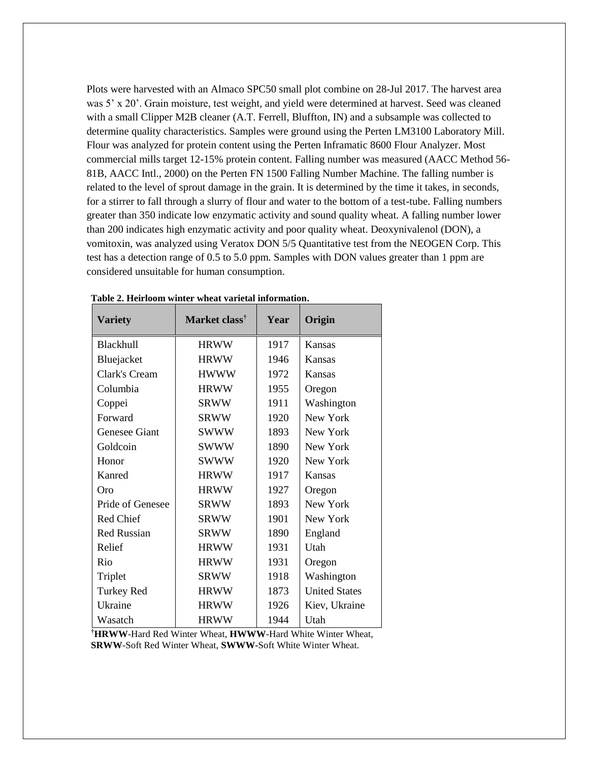Plots were harvested with an Almaco SPC50 small plot combine on 28-Jul 2017. The harvest area was 5' x 20'. Grain moisture, test weight, and yield were determined at harvest. Seed was cleaned with a small Clipper M2B cleaner (A.T. Ferrell, Bluffton, IN) and a subsample was collected to determine quality characteristics. Samples were ground using the Perten LM3100 Laboratory Mill. Flour was analyzed for protein content using the Perten Inframatic 8600 Flour Analyzer. Most commercial mills target 12-15% protein content. Falling number was measured (AACC Method 56- 81B, AACC Intl., 2000) on the Perten FN 1500 Falling Number Machine. The falling number is related to the level of sprout damage in the grain. It is determined by the time it takes, in seconds, for a stirrer to fall through a slurry of flour and water to the bottom of a test-tube. Falling numbers greater than 350 indicate low enzymatic activity and sound quality wheat. A falling number lower than 200 indicates high enzymatic activity and poor quality wheat. Deoxynivalenol (DON), a vomitoxin, was analyzed using Veratox DON 5/5 Quantitative test from the NEOGEN Corp. This test has a detection range of 0.5 to 5.0 ppm. Samples with DON values greater than 1 ppm are considered unsuitable for human consumption.

| <b>Variety</b>     | Market class <sup>†</sup> | Year | Origin               |
|--------------------|---------------------------|------|----------------------|
| Blackhull          | <b>HRWW</b>               | 1917 | Kansas               |
| Bluejacket         | <b>HRWW</b>               | 1946 | Kansas               |
| Clark's Cream      | <b>HWWW</b>               | 1972 | Kansas               |
| Columbia           | <b>HRWW</b>               | 1955 | Oregon               |
| Coppei             | <b>SRWW</b>               | 1911 | Washington           |
| Forward            | <b>SRWW</b>               | 1920 | New York             |
| Genesee Giant      | <b>SWWW</b>               | 1893 | New York             |
| Goldcoin           | <b>SWWW</b>               | 1890 | New York             |
| Honor              | <b>SWWW</b>               | 1920 | New York             |
| Kanred             | <b>HRWW</b>               | 1917 | Kansas               |
| Oro                | <b>HRWW</b>               | 1927 | Oregon               |
| Pride of Genesee   | <b>SRWW</b>               | 1893 | New York             |
| <b>Red Chief</b>   | <b>SRWW</b>               | 1901 | New York             |
| <b>Red Russian</b> | <b>SRWW</b>               | 1890 | England              |
| Relief             | <b>HRWW</b>               | 1931 | Utah                 |
| Rio                | <b>HRWW</b>               | 1931 | Oregon               |
| Triplet            | <b>SRWW</b>               | 1918 | Washington           |
| Turkey Red         | <b>HRWW</b>               | 1873 | <b>United States</b> |
| Ukraine            | <b>HRWW</b>               | 1926 | Kiev, Ukraine        |
| Wasatch            | <b>HRWW</b>               | 1944 | Utah                 |

| Table 2. Heirloom winter wheat varietal information. |  |  |
|------------------------------------------------------|--|--|
|                                                      |  |  |

**†HRWW**-Hard Red Winter Wheat, **HWWW**-Hard White Winter Wheat, **SRWW**-Soft Red Winter Wheat, **SWWW-**Soft White Winter Wheat.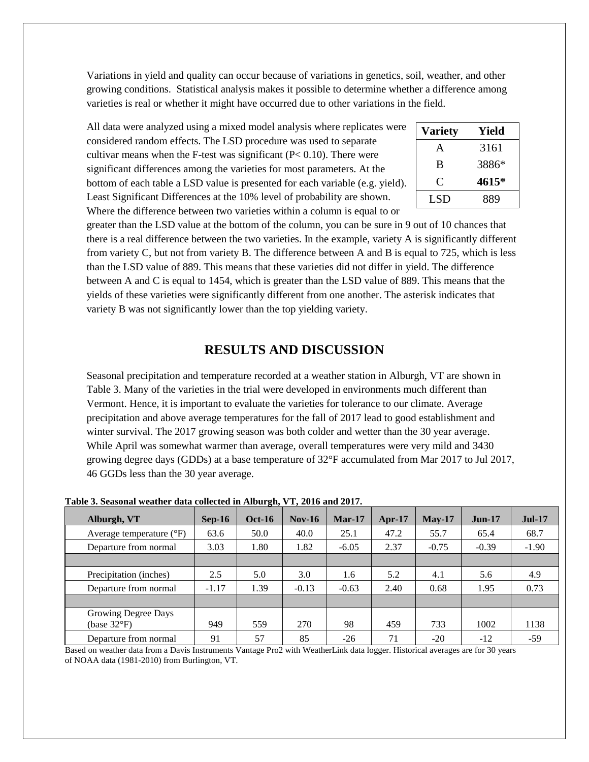Variations in yield and quality can occur because of variations in genetics, soil, weather, and other growing conditions. Statistical analysis makes it possible to determine whether a difference among varieties is real or whether it might have occurred due to other variations in the field.

All data were analyzed using a mixed model analysis where replicates were considered random effects. The LSD procedure was used to separate cultivar means when the F-test was significant  $(P< 0.10)$ . There were significant differences among the varieties for most parameters. At the bottom of each table a LSD value is presented for each variable (e.g. yield). Least Significant Differences at the 10% level of probability are shown. Where the difference between two varieties within a column is equal to or

| <b>Variety</b> | Yield |
|----------------|-------|
| А              | 3161  |
| B              | 3886* |
| ⊖              | 4615* |
| LSD            | 889   |

greater than the LSD value at the bottom of the column, you can be sure in 9 out of 10 chances that there is a real difference between the two varieties. In the example, variety A is significantly different from variety C, but not from variety B. The difference between A and B is equal to 725, which is less than the LSD value of 889. This means that these varieties did not differ in yield. The difference between A and C is equal to 1454, which is greater than the LSD value of 889. This means that the yields of these varieties were significantly different from one another. The asterisk indicates that variety B was not significantly lower than the top yielding variety.

### **RESULTS AND DISCUSSION**

Seasonal precipitation and temperature recorded at a weather station in Alburgh, VT are shown in Table 3. Many of the varieties in the trial were developed in environments much different than Vermont. Hence, it is important to evaluate the varieties for tolerance to our climate. Average precipitation and above average temperatures for the fall of 2017 lead to good establishment and winter survival. The 2017 growing season was both colder and wetter than the 30 year average. While April was somewhat warmer than average, overall temperatures were very mild and 3430 growing degree days (GDDs) at a base temperature of 32°F accumulated from Mar 2017 to Jul 2017, 46 GGDs less than the 30 year average.

| Alburgh, VT                         | $Sep-16$ | <b>Oct-16</b> | $Nov-16$ | $Mar-17$ | Apr- $17$ | $Mav-17$ | $Jun-17$ | <b>Jul-17</b> |
|-------------------------------------|----------|---------------|----------|----------|-----------|----------|----------|---------------|
| Average temperature $({}^{\circ}F)$ | 63.6     | 50.0          | 40.0     | 25.1     | 47.2      | 55.7     | 65.4     | 68.7          |
| Departure from normal               | 3.03     | 1.80          | 1.82     | $-6.05$  | 2.37      | $-0.75$  | $-0.39$  | $-1.90$       |
|                                     |          |               |          |          |           |          |          |               |
| Precipitation (inches)              | 2.5      | 5.0           | 3.0      | 1.6      | 5.2       | 4.1      | 5.6      | 4.9           |
| Departure from normal               | $-1.17$  | 1.39          | $-0.13$  | $-0.63$  | 2.40      | 0.68     | 1.95     | 0.73          |
|                                     |          |               |          |          |           |          |          |               |
| Growing Degree Days<br>(base 32°F)  | 949      | 559           | 270      | 98       | 459       | 733      | 1002     | 1138          |
| Departure from normal               | 91       | 57            | 85       | $-26$    | 71        | $-20$    | $-12$    | $-59$         |

**Table 3. Seasonal weather data collected in Alburgh, VT, 2016 and 2017.**

Based on weather data from a Davis Instruments Vantage Pro2 with WeatherLink data logger. Historical averages are for 30 years of NOAA data (1981-2010) from Burlington, VT.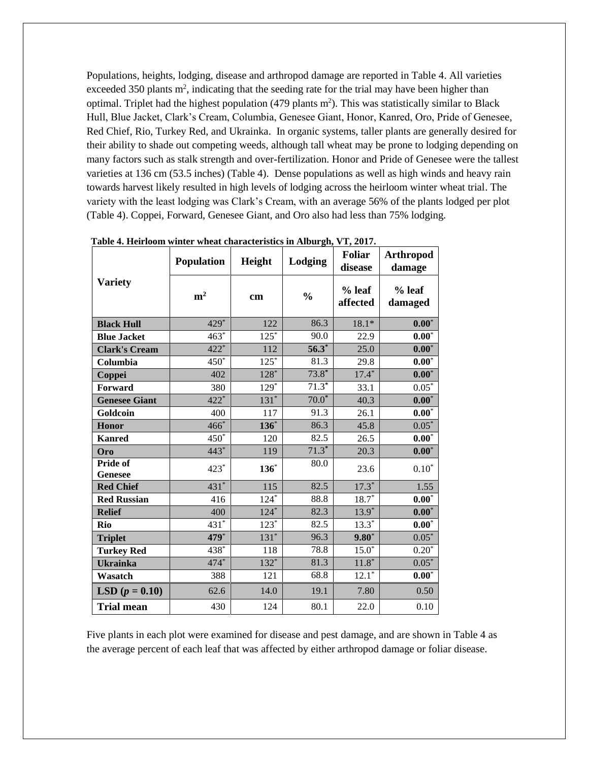Populations, heights, lodging, disease and arthropod damage are reported in Table 4. All varieties exceeded 350 plants  $m^2$ , indicating that the seeding rate for the trial may have been higher than optimal. Triplet had the highest population  $(479$  plants  $m<sup>2</sup>$ ). This was statistically similar to Black Hull, Blue Jacket, Clark's Cream, Columbia, Genesee Giant, Honor, Kanred, Oro, Pride of Genesee, Red Chief, Rio, Turkey Red, and Ukrainka. In organic systems, taller plants are generally desired for their ability to shade out competing weeds, although tall wheat may be prone to lodging depending on many factors such as stalk strength and over-fertilization. Honor and Pride of Genesee were the tallest varieties at 136 cm (53.5 inches) (Table 4). Dense populations as well as high winds and heavy rain towards harvest likely resulted in high levels of lodging across the heirloom winter wheat trial. The variety with the least lodging was Clark's Cream, with an average 56% of the plants lodged per plot (Table 4). Coppei, Forward, Genesee Giant, and Oro also had less than 75% lodging.

|                            | Population     | Height  | Lodging       | Foliar<br>disease  | <b>Arthropod</b><br>damage |  |
|----------------------------|----------------|---------|---------------|--------------------|----------------------------|--|
| <b>Variety</b>             | m <sup>2</sup> | cm      | $\frac{0}{0}$ | % leaf<br>affected | % leaf<br>damaged          |  |
| <b>Black Hull</b>          | 429*           | 122     | 86.3          | $18.1*$            | $0.00*$                    |  |
| <b>Blue Jacket</b>         | $463*$         | $125*$  | 90.0          | 22.9               | $0.00*$                    |  |
| <b>Clark's Cream</b>       | 422*           | 112     | $56.3*$       | 25.0               | $0.00*$                    |  |
| Columbia                   | $450*$         | $125*$  | 81.3          | 29.8               | $0.00^*$                   |  |
| Coppei                     | 402            | $128*$  | $73.8*$       | $17.4*$            | $\mathbf{0.00}^{*}$        |  |
| Forward                    | 380            | $129*$  | $71.3*$       | 33.1               | $0.05*$                    |  |
| <b>Genesee Giant</b>       | 422*           | $131*$  | $70.0*$       | 40.3               | $\mathbf{0.00}^{*}$        |  |
| Goldcoin                   | 400            | 117     | 91.3          | 26.1               | $\mathbf{0.00}^{*}$        |  |
| Honor                      | $466*$         | $136^*$ | 86.3          | 45.8               | $0.05*$                    |  |
| <b>Kanred</b>              | $450*$         | 120     | 82.5          | 26.5               | $\mathbf{0.00}^{*}$        |  |
| Oro                        | 443*           | 119     | $71.3*$       | 20.3               | $0.00*$                    |  |
| Pride of<br><b>Genesee</b> | 423*           | $136^*$ | 80.0          | 23.6               | $0.10^\ast$                |  |
| <b>Red Chief</b>           | $431*$         | 115     | 82.5          | $17.3*$            | 1.55                       |  |
| <b>Red Russian</b>         | 416            | $124*$  | 88.8          | $18.7*$            | $0.00*$                    |  |
| <b>Relief</b>              | 400            | $124*$  | 82.3          | $13.9*$            | $\mathbf{0.00}^{*}$        |  |
| Rio                        | $431*$         | $123*$  | 82.5          | $13.3*$            | $\mathbf{0.00}^{*}$        |  |
| <b>Triplet</b>             | 479*           | $131*$  | 96.3          | $9.80*$            | $0.05*$                    |  |
| <b>Turkey Red</b>          | 438*           | 118     | 78.8          | $15.0*$            | $0.20*$                    |  |
| <b>Ukrainka</b>            | 474*           | $132*$  | 81.3          | $11.8*$            | $0.05*$                    |  |
| Wasatch                    | 388            | 121     | 68.8          | $12.1^*$           | $\mathbf{0.00}^{*}$        |  |
| <b>LSD</b> $(p = 0.10)$    | 62.6           | 14.0    | 19.1          | 7.80               | 0.50                       |  |
| <b>Trial mean</b>          | 430            | 124     | 80.1          | 22.0               | 0.10                       |  |

| Table 4. Heirloom winter wheat characteristics in Alburgh, VT, 2017. |  |  |  |  |
|----------------------------------------------------------------------|--|--|--|--|
|----------------------------------------------------------------------|--|--|--|--|

Five plants in each plot were examined for disease and pest damage, and are shown in Table 4 as the average percent of each leaf that was affected by either arthropod damage or foliar disease.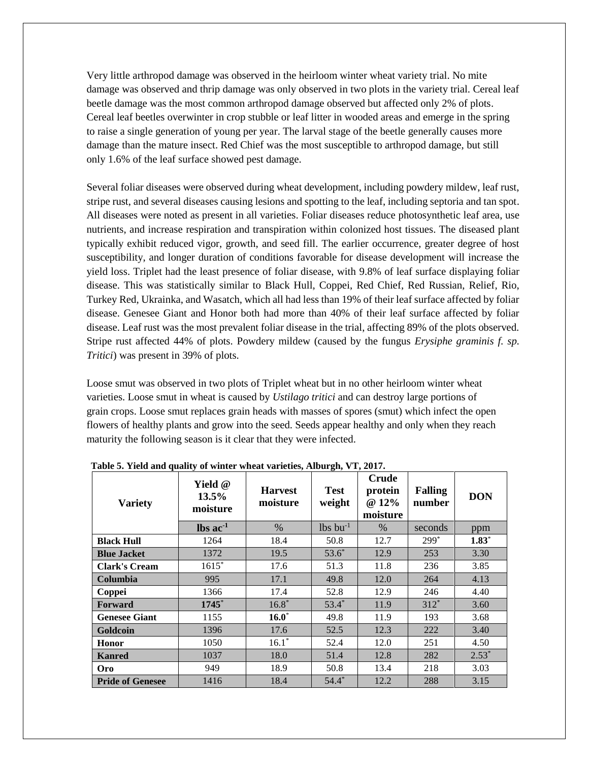Very little arthropod damage was observed in the heirloom winter wheat variety trial. No mite damage was observed and thrip damage was only observed in two plots in the variety trial. Cereal leaf beetle damage was the most common arthropod damage observed but affected only 2% of plots. Cereal leaf beetles overwinter in crop stubble or leaf litter in wooded areas and emerge in the spring to raise a single generation of young per year. The larval stage of the beetle generally causes more damage than the mature insect. Red Chief was the most susceptible to arthropod damage, but still only 1.6% of the leaf surface showed pest damage.

Several foliar diseases were observed during wheat development, including powdery mildew, leaf rust, stripe rust, and several diseases causing lesions and spotting to the leaf, including septoria and tan spot. All diseases were noted as present in all varieties. Foliar diseases reduce photosynthetic leaf area, use nutrients, and increase respiration and transpiration within colonized host tissues. The diseased plant typically exhibit reduced vigor, growth, and seed fill. The earlier occurrence, greater degree of host susceptibility, and longer duration of conditions favorable for disease development will increase the yield loss. Triplet had the least presence of foliar disease, with 9.8% of leaf surface displaying foliar disease. This was statistically similar to Black Hull, Coppei, Red Chief, Red Russian, Relief, Rio, Turkey Red, Ukrainka, and Wasatch, which all had less than 19% of their leaf surface affected by foliar disease. Genesee Giant and Honor both had more than 40% of their leaf surface affected by foliar disease. Leaf rust was the most prevalent foliar disease in the trial, affecting 89% of the plots observed. Stripe rust affected 44% of plots. Powdery mildew (caused by the fungus *Erysiphe graminis f. sp. Tritici*) was present in 39% of plots.

Loose smut was observed in two plots of Triplet wheat but in no other heirloom winter wheat varieties. Loose smut in wheat is caused by *Ustilago tritici* and can destroy large portions of grain crops. Loose smut replaces [grain heads](https://en.wikipedia.org/wiki/Head_(botany)) with masses of [spores](https://en.wikipedia.org/wiki/Spore) (smut) which infect the open flowers of healthy plants and grow into the seed. Seeds appear healthy and only when they reach maturity the following season is it clear that they were infected.

| <b>Variety</b>          | Yield @<br>13.5%<br>moisture  | <b>Harvest</b><br>moisture | $\bullet$<br><b>Test</b><br>weight | <b>Crude</b><br>protein<br>@ 12%<br>moisture | <b>Falling</b><br>number | <b>DON</b> |
|-------------------------|-------------------------------|----------------------------|------------------------------------|----------------------------------------------|--------------------------|------------|
|                         | $\text{lbs}$ ac <sup>-1</sup> | $\%$                       | $lbs$ bu <sup>-1</sup>             | %                                            | seconds                  | ppm        |
| <b>Black Hull</b>       | 1264                          | 18.4                       | 50.8                               | 12.7                                         | $299*$                   | $1.83*$    |
| <b>Blue Jacket</b>      | 1372                          | 19.5                       | $53.6*$                            | 12.9                                         | 253                      | 3.30       |
| <b>Clark's Cream</b>    | $1615*$                       | 17.6                       | 51.3                               | 11.8                                         | 236                      | 3.85       |
| Columbia                | 995                           | 17.1                       | 49.8                               | 12.0                                         | 264                      | 4.13       |
| Coppei                  | 1366                          | 17.4                       | 52.8                               | 12.9                                         | 246                      | 4.40       |
| Forward                 | 1745*                         | $16.8*$                    | $53.4*$                            | 11.9                                         | $312*$                   | 3.60       |
| <b>Genesee Giant</b>    | 1155                          | $16.0^*$                   | 49.8                               | 11.9                                         | 193                      | 3.68       |
| Goldcoin                | 1396                          | 17.6                       | 52.5                               | 12.3                                         | 222                      | 3.40       |
| Honor                   | 1050                          | $16.1*$                    | 52.4                               | 12.0                                         | 251                      | 4.50       |
| <b>Kanred</b>           | 1037                          | 18.0                       | 51.4                               | 12.8                                         | 282                      | $2.53*$    |
| Oro                     | 949                           | 18.9                       | 50.8                               | 13.4                                         | 218                      | 3.03       |
| <b>Pride of Genesee</b> | 1416                          | 18.4                       | $54.4*$                            | 12.2                                         | 288                      | 3.15       |

**Table 5. Yield and quality of winter wheat varieties, Alburgh, VT, 2017.**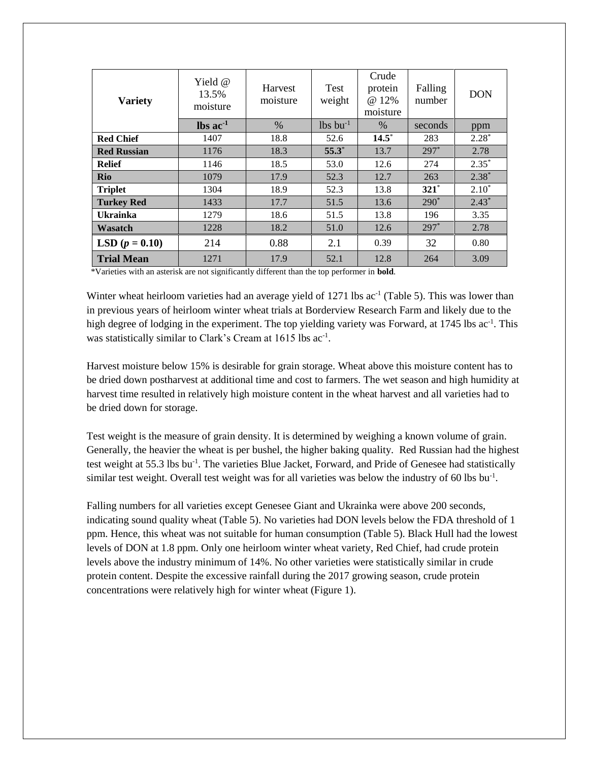| <b>Variety</b>          | Yield $@$<br>13.5%<br>moisture | <b>Harvest</b><br>moisture | Test<br>weight         | Crude<br>protein<br>@ 12%<br>moisture | Falling<br>number | <b>DON</b> |
|-------------------------|--------------------------------|----------------------------|------------------------|---------------------------------------|-------------------|------------|
|                         | $\text{lbs}$ ac <sup>-1</sup>  | %                          | $lbs$ bu <sup>-1</sup> | $\%$                                  | seconds           | ppm        |
| <b>Red Chief</b>        | 1407                           | 18.8                       | 52.6                   | $14.5*$                               | 283               | $2.28*$    |
| <b>Red Russian</b>      | 1176                           | 18.3                       | $55.3^*$               | 13.7                                  | $297*$            | 2.78       |
| <b>Relief</b>           | 1146                           | 18.5                       | 53.0                   | 12.6                                  | 274               | $2.35*$    |
| Rio                     | 1079                           | 17.9                       | 52.3                   | 12.7                                  | 263               | $2.38*$    |
| <b>Triplet</b>          | 1304                           | 18.9                       | 52.3                   | 13.8                                  | $321*$            | $2.10*$    |
| <b>Turkey Red</b>       | 1433                           | 17.7                       | 51.5                   | 13.6                                  | $290*$            | $2.43*$    |
| <b>Ukrainka</b>         | 1279                           | 18.6                       | 51.5                   | 13.8                                  | 196               | 3.35       |
| Wasatch                 | 1228                           | 18.2                       | 51.0                   | 12.6                                  | $297*$            | 2.78       |
| <b>LSD</b> $(p = 0.10)$ | 214                            | 0.88                       | 2.1                    | 0.39                                  | 32                | 0.80       |
| <b>Trial Mean</b>       | 1271                           | 17.9                       | 52.1                   | 12.8                                  | 264               | 3.09       |

\*Varieties with an asterisk are not significantly different than the top performer in **bold**.

Winter wheat heirloom varieties had an average yield of  $1271$  lbs ac<sup>-1</sup> (Table 5). This was lower than in previous years of heirloom winter wheat trials at Borderview Research Farm and likely due to the high degree of lodging in the experiment. The top yielding variety was Forward, at 1745 lbs ac<sup>-1</sup>. This was statistically similar to Clark's Cream at 1615 lbs ac<sup>-1</sup>.

Harvest moisture below 15% is desirable for grain storage. Wheat above this moisture content has to be dried down postharvest at additional time and cost to farmers. The wet season and high humidity at harvest time resulted in relatively high moisture content in the wheat harvest and all varieties had to be dried down for storage.

Test weight is the measure of grain density. It is determined by weighing a known volume of grain. Generally, the heavier the wheat is per bushel, the higher baking quality. Red Russian had the highest test weight at 55.3 lbs bu<sup>-1</sup>. The varieties Blue Jacket, Forward, and Pride of Genesee had statistically similar test weight. Overall test weight was for all varieties was below the industry of 60 lbs bu<sup>-1</sup>.

Falling numbers for all varieties except Genesee Giant and Ukrainka were above 200 seconds, indicating sound quality wheat (Table 5). No varieties had DON levels below the FDA threshold of 1 ppm. Hence, this wheat was not suitable for human consumption (Table 5). Black Hull had the lowest levels of DON at 1.8 ppm. Only one heirloom winter wheat variety, Red Chief, had crude protein levels above the industry minimum of 14%. No other varieties were statistically similar in crude protein content. Despite the excessive rainfall during the 2017 growing season, crude protein concentrations were relatively high for winter wheat (Figure 1).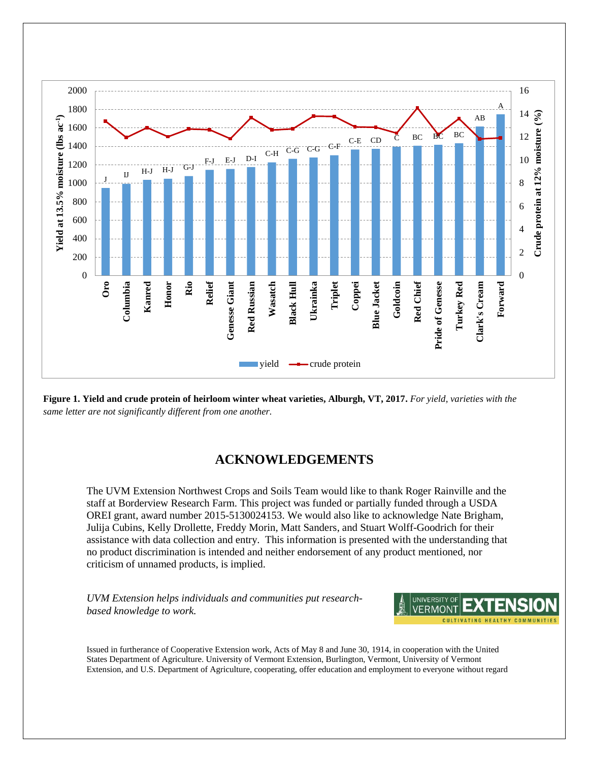

**Figure 1. Yield and crude protein of heirloom winter wheat varieties, Alburgh, VT, 2017.** *For yield, varieties with the same letter are not significantly different from one another.* 

## **ACKNOWLEDGEMENTS**

The UVM Extension Northwest Crops and Soils Team would like to thank Roger Rainville and the staff at Borderview Research Farm. This project was funded or partially funded through a USDA OREI grant, award number 2015-5130024153. We would also like to acknowledge Nate Brigham, Julija Cubins, Kelly Drollette, Freddy Morin, Matt Sanders, and Stuart Wolff-Goodrich for their assistance with data collection and entry. This information is presented with the understanding that no product discrimination is intended and neither endorsement of any product mentioned, nor criticism of unnamed products, is implied.

*UVM Extension helps individuals and communities put researchbased knowledge to work.*



Issued in furtherance of Cooperative Extension work, Acts of May 8 and June 30, 1914, in cooperation with the United States Department of Agriculture. University of Vermont Extension, Burlington, Vermont, University of Vermont Extension, and U.S. Department of Agriculture, cooperating, offer education and employment to everyone without regard